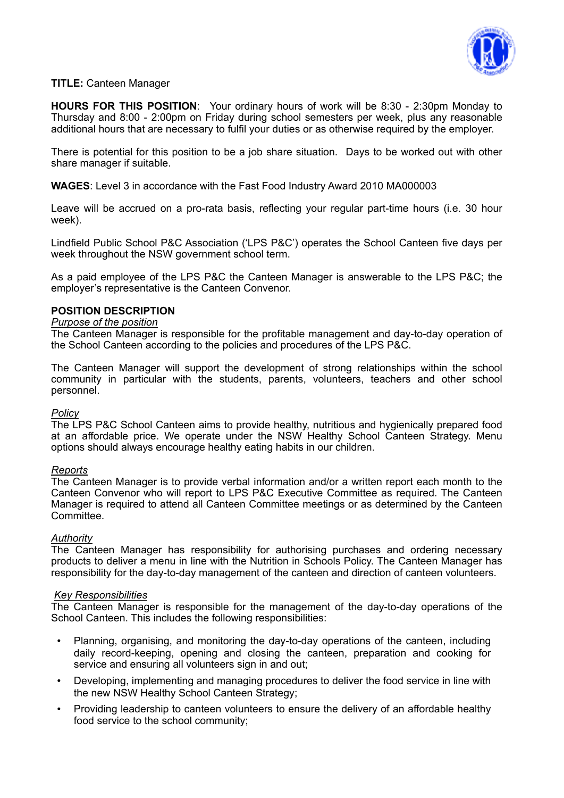

# **TITLE:** Canteen Manager

**HOURS FOR THIS POSITION**: Your ordinary hours of work will be 8:30 - 2:30pm Monday to Thursday and 8:00 - 2:00pm on Friday during school semesters per week, plus any reasonable additional hours that are necessary to fulfil your duties or as otherwise required by the employer.

There is potential for this position to be a job share situation. Days to be worked out with other share manager if suitable.

**WAGES**: Level 3 in accordance with the Fast Food Industry Award 2010 MA000003

Leave will be accrued on a pro-rata basis, reflecting your regular part-time hours (i.e. 30 hour week).

Lindfield Public School P&C Association ('LPS P&C') operates the School Canteen five days per week throughout the NSW government school term.

As a paid employee of the LPS P&C the Canteen Manager is answerable to the LPS P&C; the employer's representative is the Canteen Convenor.

### **POSITION DESCRIPTION**

# *Purpose of the position*

The Canteen Manager is responsible for the profitable management and day-to-day operation of the School Canteen according to the policies and procedures of the LPS P&C.

The Canteen Manager will support the development of strong relationships within the school community in particular with the students, parents, volunteers, teachers and other school personnel.

#### *Policy*

The LPS P&C School Canteen aims to provide healthy, nutritious and hygienically prepared food at an affordable price. We operate under the NSW Healthy School Canteen Strategy. Menu options should always encourage healthy eating habits in our children.

#### *Reports*

The Canteen Manager is to provide verbal information and/or a written report each month to the Canteen Convenor who will report to LPS P&C Executive Committee as required. The Canteen Manager is required to attend all Canteen Committee meetings or as determined by the Canteen Committee.

#### *Authority*

The Canteen Manager has responsibility for authorising purchases and ordering necessary products to deliver a menu in line with the Nutrition in Schools Policy. The Canteen Manager has responsibility for the day-to-day management of the canteen and direction of canteen volunteers.

#### *Key Responsibilities*

The Canteen Manager is responsible for the management of the day-to-day operations of the School Canteen. This includes the following responsibilities:

- Planning, organising, and monitoring the day-to-day operations of the canteen, including daily record-keeping, opening and closing the canteen, preparation and cooking for service and ensuring all volunteers sign in and out:
- Developing, implementing and managing procedures to deliver the food service in line with the new NSW Healthy School Canteen Strategy;
- Providing leadership to canteen volunteers to ensure the delivery of an affordable healthy food service to the school community;